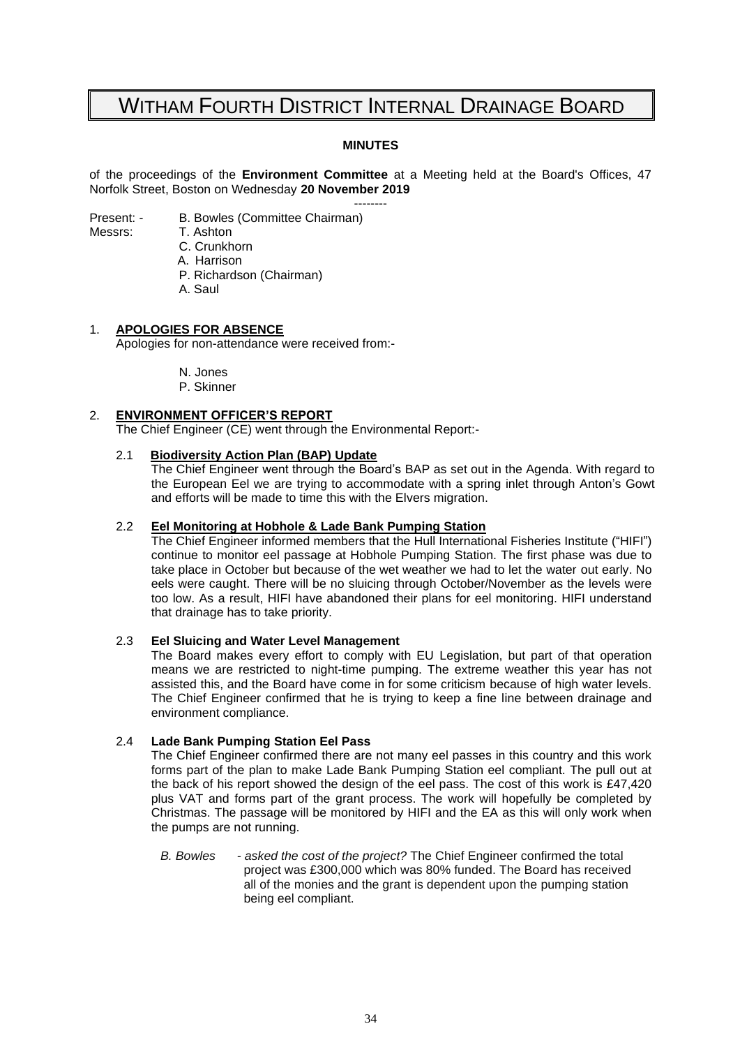# WITHAM FOURTH DISTRICT INTERNAL DRAINAGE BOARD

#### **MINUTES**

of the proceedings of the **Environment Committee** at a Meeting held at the Board's Offices, 47 Norfolk Street, Boston on Wednesday **20 November 2019**

-------- Present: - B. Bowles (Committee Chairman)

Messrs: T. Ashton

C. Crunkhorn

- A. Harrison
- P. Richardson (Chairman)
- A. Saul

#### 1. **APOLOGIES FOR ABSENCE**

Apologies for non-attendance were received from:-

N. Jones

P. Skinner

### 2. **ENVIRONMENT OFFICER'S REPORT**

The Chief Engineer (CE) went through the Environmental Report:-

#### 2.1 **Biodiversity Action Plan (BAP) Update**

The Chief Engineer went through the Board's BAP as set out in the Agenda. With regard to the European Eel we are trying to accommodate with a spring inlet through Anton's Gowt and efforts will be made to time this with the Elvers migration.

#### 2.2 **Eel Monitoring at Hobhole & Lade Bank Pumping Station**

The Chief Engineer informed members that the Hull International Fisheries Institute ("HIFI") continue to monitor eel passage at Hobhole Pumping Station. The first phase was due to take place in October but because of the wet weather we had to let the water out early. No eels were caught. There will be no sluicing through October/November as the levels were too low. As a result, HIFI have abandoned their plans for eel monitoring. HIFI understand that drainage has to take priority.

#### 2.3 **Eel Sluicing and Water Level Management**

The Board makes every effort to comply with EU Legislation, but part of that operation means we are restricted to night-time pumping. The extreme weather this year has not assisted this, and the Board have come in for some criticism because of high water levels. The Chief Engineer confirmed that he is trying to keep a fine line between drainage and environment compliance.

#### 2.4 **Lade Bank Pumping Station Eel Pass**

The Chief Engineer confirmed there are not many eel passes in this country and this work forms part of the plan to make Lade Bank Pumping Station eel compliant. The pull out at the back of his report showed the design of the eel pass. The cost of this work is £47,420 plus VAT and forms part of the grant process. The work will hopefully be completed by Christmas. The passage will be monitored by HIFI and the EA as this will only work when the pumps are not running.

*B. Bowles - asked the cost of the project?* The Chief Engineer confirmed the total project was £300,000 which was 80% funded. The Board has received all of the monies and the grant is dependent upon the pumping station being eel compliant.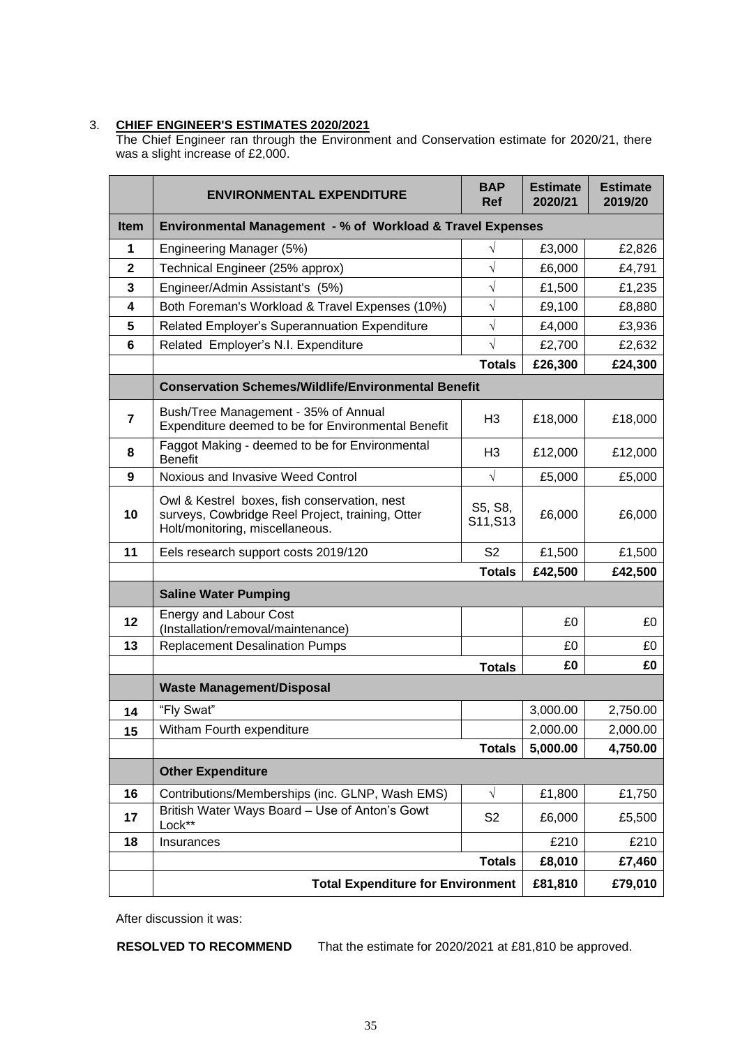#### 3. **CHIEF ENGINEER'S ESTIMATES 2020/2021**

The Chief Engineer ran through the Environment and Conservation estimate for 2020/21, there was a slight increase of £2,000.

|                | <b>ENVIRONMENTAL EXPENDITURE</b>                                                                                                    | <b>BAP</b><br><b>Ref</b> | <b>Estimate</b><br>2020/21 | <b>Estimate</b><br>2019/20 |  |
|----------------|-------------------------------------------------------------------------------------------------------------------------------------|--------------------------|----------------------------|----------------------------|--|
| Item           | Environmental Management - % of Workload & Travel Expenses                                                                          |                          |                            |                            |  |
| 1              | Engineering Manager (5%)                                                                                                            | $\sqrt{}$                | £3,000                     | £2,826                     |  |
| $\mathbf{2}$   | Technical Engineer (25% approx)                                                                                                     | $\sqrt{}$                | £6,000                     | £4,791                     |  |
| 3              | Engineer/Admin Assistant's (5%)                                                                                                     | $\sqrt{}$                | £1,500                     | £1,235                     |  |
| 4              | Both Foreman's Workload & Travel Expenses (10%)                                                                                     | $\sqrt{}$                | £9,100                     | £8,880                     |  |
| 5              | Related Employer's Superannuation Expenditure                                                                                       | $\sqrt{}$                | £4,000                     | £3,936                     |  |
| 6              | Related Employer's N.I. Expenditure                                                                                                 | $\sqrt{}$                | £2,700                     | £2,632                     |  |
|                |                                                                                                                                     | <b>Totals</b>            | £26,300                    | £24,300                    |  |
|                | <b>Conservation Schemes/Wildlife/Environmental Benefit</b>                                                                          |                          |                            |                            |  |
| $\overline{7}$ | Bush/Tree Management - 35% of Annual<br>Expenditure deemed to be for Environmental Benefit                                          | H <sub>3</sub>           | £18,000                    | £18,000                    |  |
| 8              | Faggot Making - deemed to be for Environmental<br><b>Benefit</b>                                                                    | H <sub>3</sub>           | £12,000                    | £12,000                    |  |
| 9              | Noxious and Invasive Weed Control                                                                                                   | $\sqrt{}$                | £5,000                     | £5,000                     |  |
| 10             | Owl & Kestrel boxes, fish conservation, nest<br>surveys, Cowbridge Reel Project, training, Otter<br>Holt/monitoring, miscellaneous. | S5, S8,<br>S11, S13      | £6,000                     | £6,000                     |  |
| 11             | Eels research support costs 2019/120                                                                                                | S <sub>2</sub>           | £1,500                     | £1,500                     |  |
|                |                                                                                                                                     | <b>Totals</b>            | £42,500                    | £42,500                    |  |
|                | <b>Saline Water Pumping</b>                                                                                                         |                          |                            |                            |  |
| 12             | <b>Energy and Labour Cost</b><br>(Installation/removal/maintenance)                                                                 |                          | £0                         | £0                         |  |
| 13             | <b>Replacement Desalination Pumps</b>                                                                                               |                          | £0                         | £0                         |  |
|                |                                                                                                                                     | <b>Totals</b>            | £0                         | £0                         |  |
|                | <b>Waste Management/Disposal</b>                                                                                                    |                          |                            |                            |  |
| 14             | "Fly Swat"                                                                                                                          |                          | 3,000.00                   | 2,750.00                   |  |
| 15             | Witham Fourth expenditure                                                                                                           |                          | 2,000.00                   | 2,000.00                   |  |
|                |                                                                                                                                     | <b>Totals</b>            | 5,000.00                   | 4,750.00                   |  |
|                | <b>Other Expenditure</b>                                                                                                            |                          |                            |                            |  |
| 16             | Contributions/Memberships (inc. GLNP, Wash EMS)                                                                                     | $\sqrt{ }$               | £1,800                     | £1,750                     |  |
| 17             | British Water Ways Board - Use of Anton's Gowt<br>Lock**                                                                            | S <sub>2</sub>           | £6,000                     | £5,500                     |  |
| 18             | Insurances                                                                                                                          |                          | £210                       | £210                       |  |
|                |                                                                                                                                     | <b>Totals</b>            | £8,010                     | £7,460                     |  |
|                | <b>Total Expenditure for Environment</b>                                                                                            |                          | £81,810                    | £79,010                    |  |

After discussion it was:

**RESOLVED TO RECOMMEND** That the estimate for 2020/2021 at £81,810 be approved.